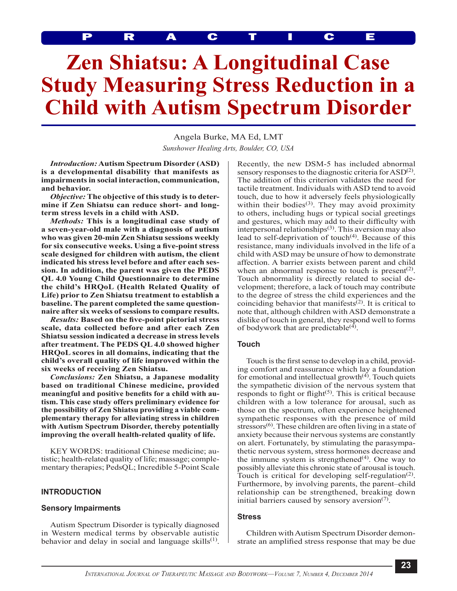PRACTICE

# **Zen Shiatsu: A Longitudinal Case Study Measuring Stress Reduction in a Child with Autism Spectrum Disorder**

Angela Burke, MA Ed, LMT *Sunshower Healing Arts, Boulder, CO, USA*

*Introduction:* **Autism Spectrum Disorder (ASD) is a developmental disability that manifests as impairments in social interaction, communication, and behavior.**

*Objective:* **The objective of this study is to determine if Zen Shiatsu can reduce short- and longterm stress levels in a child with ASD.**

*Methods:* **This is a longitudinal case study of a seven-year-old male with a diagnosis of autism who was given 20-min Zen Shiatsu sessions weekly for six consecutive weeks. Using a five-point stress scale designed for children with autism, the client indicated his stress level before and after each session. In addition, the parent was given the PEDS QL 4.0 Young Child Questionnaire to determine the child's HRQoL (Health Related Quality of Life) prior to Zen Shiatsu treatment to establish a baseline. The parent completed the same questionnaire after six weeks of sessions to compare results.**

*Results:* **Based on the five-point pictorial stress scale, data collected before and after each Zen Shiatsu session indicated a decrease in stress levels after treatment. The PEDS QL 4.0 showed higher HRQoL scores in all domains, indicating that the child's overall quality of life improved within the six weeks of receiving Zen Shiatsu.**

*Conclusions:* **Zen Shiatsu, a Japanese modality based on traditional Chinese medicine, provided meaningful and positive benefits for a child with autism. This case study offers preliminary evidence for the possibility of Zen Shiatsu providing a viable complementary therapy for alleviating stress in children with Autism Spectrum Disorder, thereby potentially improving the overall health-related quality of life.**

KEY WORDS: traditional Chinese medicine; autistic; health-related quality of life; massage; complementary therapies; PedsQL; Incredible 5-Point Scale

#### **INTRODUCTION**

#### **Sensory Impairments**

Autism Spectrum Disorder is typically diagnosed in Western medical terms by observable autistic behavior and delay in social and language skills $(1)$ . Recently, the new DSM-5 has included abnormal sensory responses to the diagnostic criteria for ASD<sup>(2)</sup>. The addition of this criterion validates the need for tactile treatment. Individuals with ASD tend to avoid touch, due to how it adversely feels physiologically within their bodies<sup>(3)</sup>. They may avoid proximity to others, including hugs or typical social greetings and gestures, which may add to their difficulty with interpersonal relationships(3). This aversion may also lead to self-deprivation of touch<sup>(4)</sup>. Because of this resistance, many individuals involved in the life of a child with ASD may be unsure of how to demonstrate affection. A barrier exists between parent and child when an abnormal response to touch is present $(2)$ . Touch abnormality is directly related to social development; therefore, a lack of touch may contribute to the degree of stress the child experiences and the coinciding behavior that manifests $(2)$ . It is critical to note that, although children with ASD demonstrate a dislike of touch in general, they respond well to forms of bodywork that are predictable<sup>(4)</sup>.

## **Touch**

Touch is the first sense to develop in a child, providing comfort and reassurance which lay a foundation for emotional and intellectual growth $(4)$ . Touch quiets the sympathetic division of the nervous system that responds to fight or flight<sup> $(5)$ </sup>. This is critical because children with a low tolerance for arousal, such as those on the spectrum, often experience heightened sympathetic responses with the presence of mild stressors<sup>(6)</sup>. These children are often living in a state of anxiety because their nervous systems are constantly on alert. Fortunately, by stimulating the parasympathetic nervous system, stress hormones decrease and the immune system is strengthened $(4)$ . One way to possibly alleviate this chronic state of arousal is touch. Touch is critical for developing self-regulation<sup> $(2)$ </sup>. Furthermore, by involving parents, the parent–child relationship can be strengthened, breaking down initial barriers caused by sensory aversion $(7)$ .

#### **Stress**

Children with Autism Spectrum Disorder demonstrate an amplified stress response that may be due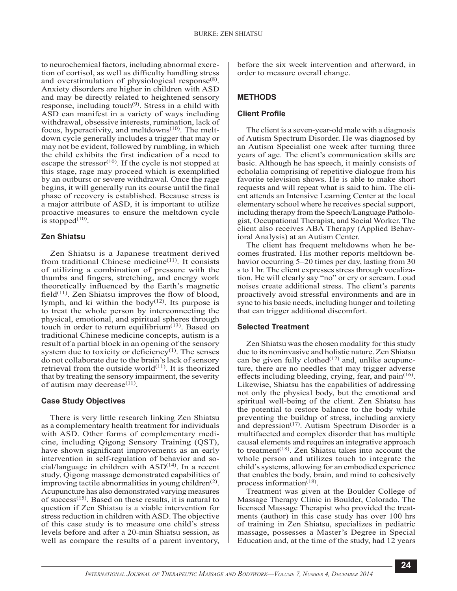to neurochemical factors, including abnormal excretion of cortisol, as well as difficulty handling stress and overstimulation of physiological response<sup>(8)</sup>. Anxiety disorders are higher in children with ASD and may be directly related to heightened sensory response, including touch<sup>(9)</sup>. Stress in a child with ASD can manifest in a variety of ways including withdrawal, obsessive interests, rumination, lack of focus, hyperactivity, and meltdowns<sup>(10)</sup>. The meltdown cycle generally includes a trigger that may or may not be evident, followed by rumbling, in which the child exhibits the first indication of a need to escape the stressor<sup>(10)</sup>. If the cycle is not stopped at this stage, rage may proceed which is exemplified by an outburst or severe withdrawal. Once the rage begins, it will generally run its course until the final phase of recovery is established. Because stress is a major attribute of ASD, it is important to utilize proactive measures to ensure the meltdown cycle is stopped $^{(10)}$ .

## **Zen Shiatsu**

Zen Shiatsu is a Japanese treatment derived from traditional Chinese medicine $(11)$ . It consists of utilizing a combination of pressure with the thumbs and fingers, stretching, and energy work theoretically influenced by the Earth's magnetic field $(11)$ . Zen Shiatsu improves the flow of blood, lymph, and ki within the body $(12)$ . Its purpose is to treat the whole person by interconnecting the physical, emotional, and spiritual spheres through touch in order to return equilibrium $(13)$ . Based on traditional Chinese medicine concepts, autism is a result of a partial block in an opening of the sensory system due to toxicity or deficiency $(1)$ . The senses do not collaborate due to the brain's lack of sensory retrieval from the outside world $^{(11)}$ . It is theorized that by treating the sensory impairment, the severity of autism may decrease $^{(11)}$ .

# **Case Study Objectives**

There is very little research linking Zen Shiatsu as a complementary health treatment for individuals with ASD. Other forms of complementary medicine, including Qigong Sensory Training (QST), have shown significant improvements as an early intervention in self-regulation of behavior and social/language in children with  $ASD<sup>(14)</sup>$ . In a recent study, Qigong massage demonstrated capabilities of improving tactile abnormalities in young children<sup> $(2)$ </sup>. Acupuncture has also demonstrated varying measures of success<sup> $(15)$ </sup>. Based on these results, it is natural to question if Zen Shiatsu is a viable intervention for stress reduction in children with ASD. The objective of this case study is to measure one child's stress levels before and after a 20-min Shiatsu session, as well as compare the results of a parent inventory,

before the six week intervention and afterward, in order to measure overall change.

# **METHODS**

## **Client Profile**

The client is a seven-year-old male with a diagnosis of Autism Spectrum Disorder. He was diagnosed by an Autism Specialist one week after turning three years of age. The client's communication skills are basic. Although he has speech, it mainly consists of echolalia comprising of repetitive dialogue from his favorite television shows. He is able to make short requests and will repeat what is said to him. The client attends an Intensive Learning Center at the local elementary school where he receives special support, including therapy from the Speech/Language Pathologist, Occupational Therapist, and Social Worker. The client also receives ABA Therapy (Applied Behavioral Analysis) at an Autism Center.

The client has frequent meltdowns when he becomes frustrated. His mother reports meltdown behavior occurring 5–20 times per day, lasting from 30 s to 1 hr. The client expresses stress through vocalization. He will clearly say "no" or cry or scream. Loud noises create additional stress. The client's parents proactively avoid stressful environments and are in sync to his basic needs, including hunger and toileting that can trigger additional discomfort.

# **Selected Treatment**

Zen Shiatsu was the chosen modality for this study due to its noninvasive and holistic nature. Zen Shiatsu can be given fully clothed<sup> $(12)$ </sup> and, unlike acupuncture, there are no needles that may trigger adverse effects including bleeding, crying, fear, and pain<sup>(16)</sup>. Likewise, Shiatsu has the capabilities of addressing not only the physical body, but the emotional and spiritual well-being of the client. Zen Shiatsu has the potential to restore balance to the body while preventing the buildup of stress, including anxiety and depression $(17)$ . Autism Spectrum Disorder is a multifaceted and complex disorder that has multiple causal elements and requires an integrative approach to treatment<sup>(18)</sup>. Zen Shiatsu takes into account the whole person and utilizes touch to integrate the child's systems, allowing for an embodied experience that enables the body, brain, and mind to cohesively process information<sup>(18)</sup>.

Treatment was given at the Boulder College of Massage Therapy Clinic in Boulder, Colorado. The licensed Massage Therapist who provided the treatments (author) in this case study has over 100 hrs of training in Zen Shiatsu, specializes in pediatric massage, possesses a Master's Degree in Special Education and, at the time of the study, had 12 years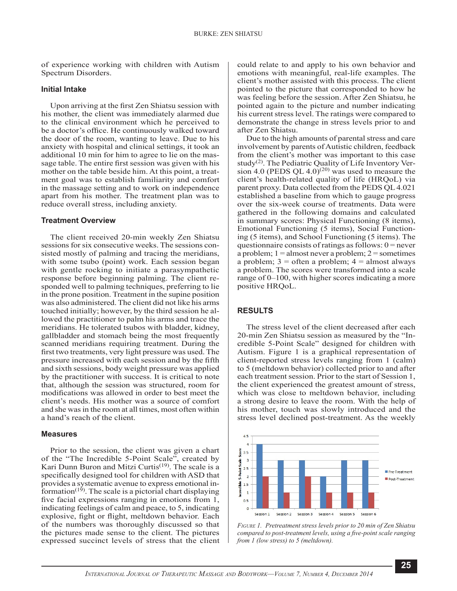of experience working with children with Autism Spectrum Disorders.

#### **Initial Intake**

Upon arriving at the first Zen Shiatsu session with his mother, the client was immediately alarmed due to the clinical environment which he perceived to be a doctor's office. He continuously walked toward the door of the room, wanting to leave. Due to his anxiety with hospital and clinical settings, it took an additional 10 min for him to agree to lie on the massage table. The entire first session was given with his mother on the table beside him. At this point, a treatment goal was to establish familiarity and comfort in the massage setting and to work on independence apart from his mother. The treatment plan was to reduce overall stress, including anxiety.

#### **Treatment Overview**

The client received 20-min weekly Zen Shiatsu sessions for six consecutive weeks. The sessions consisted mostly of palming and tracing the meridians, with some tsubo (point) work. Each session began with gentle rocking to initiate a parasympathetic response before beginning palming. The client responded well to palming techniques, preferring to lie in the prone position. Treatment in the supine position was also administered. The client did not like his arms touched initially; however, by the third session he allowed the practitioner to palm his arms and trace the meridians. He tolerated tsubos with bladder, kidney, gallbladder and stomach being the most frequently scanned meridians requiring treatment. During the first two treatments, very light pressure was used. The pressure increased with each session and by the fifth and sixth sessions, body weight pressure was applied by the practitioner with success. It is critical to note that, although the session was structured, room for modifications was allowed in order to best meet the client's needs. His mother was a source of comfort and she was in the room at all times, most often within a hand's reach of the client.

#### **Measures**

Prior to the session, the client was given a chart of the "The Incredible 5-Point Scale", created by Kari Dunn Buron and Mitzi Curtis<sup>(19)</sup>. The scale is a specifically designed tool for children with ASD that provides a systematic avenue to express emotional information<sup> $(19)$ </sup>. The scale is a pictorial chart displaying five facial expressions ranging in emotions from 1, indicating feelings of calm and peace, to 5, indicating explosive, fight or flight, meltdown behavior. Each of the numbers was thoroughly discussed so that the pictures made sense to the client. The pictures expressed succinct levels of stress that the client

could relate to and apply to his own behavior and emotions with meaningful, real-life examples. The client's mother assisted with this process. The client pointed to the picture that corresponded to how he was feeling before the session. After Zen Shiatsu, he pointed again to the picture and number indicating his current stress level. The ratings were compared to demonstrate the change in stress levels prior to and after Zen Shiatsu.

Due to the high amounts of parental stress and care involvement by parents of Autistic children, feedback from the client's mother was important to this case study<sup>(2)</sup>. The Pediatric Quality of Life Inventory Version 4.0 (PEDS QL 4.0)<sup>(20)</sup> was used to measure the client's health-related quality of life (HRQoL) via parent proxy. Data collected from the PEDS QL 4.021 established a baseline from which to gauge progress over the six-week course of treatments. Data were gathered in the following domains and calculated in summary scores: Physical Functioning (8 items), Emotional Functioning (5 items), Social Functioning (5 items), and School Functioning (5 items). The questionnaire consists of ratings as follows:  $0 =$  never a problem;  $1 =$ almost never a problem;  $2 =$ sometimes a problem;  $3 =$  often a problem;  $4 =$  almost always a problem. The scores were transformed into a scale range of 0–100, with higher scores indicating a more positive HRQoL.

#### **RESULTS**

The stress level of the client decreased after each 20-min Zen Shiatsu session as measured by the "Incredible 5-Point Scale" designed for children with Autism. Figure 1 is a graphical representation of client-reported stress levels ranging from 1 (calm) to 5 (meltdown behavior) collected prior to and after each treatment session. Prior to the start of Session 1, the client experienced the greatest amount of stress, which was close to meltdown behavior, including a strong desire to leave the room. With the help of his mother, touch was slowly introduced and the stress level declined post-treatment. As the weekly



*Figure 1. Pretreatment stress levels prior to 20 min of Zen Shiatsu compared to post-treatment levels, using a five-point scale ranging from 1 (low stress) to 5 (meltdown).*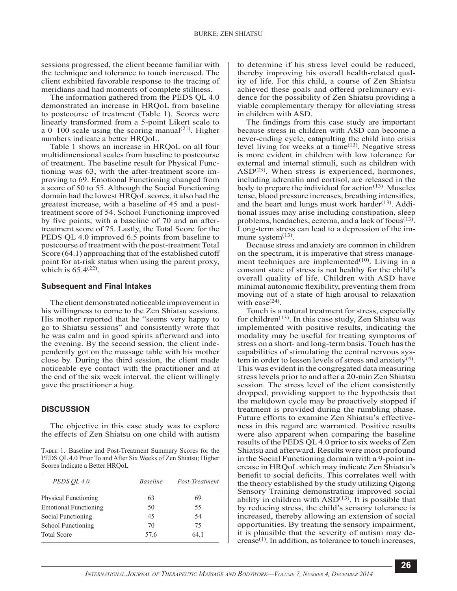sessions progressed, the client became familiar with the technique and tolerance to touch increased. The client exhibited favorable response to the tracing of meridians and had moments of complete stillness.

The information gathered from the PEDS QL 4.0 demonstrated an increase in HRQoL from baseline to postcourse of treatment (Table 1). Scores were linearly transformed from a 5-point Likert scale to a  $0-100$  scale using the scoring manual<sup>(21)</sup>. Higher numbers indicate a better HRQoL.

Table 1 shows an increase in HRQoL on all four multidimensional scales from baseline to postcourse of treatment. The baseline result for Physical Functioning was 63, with the after-treatment score improving to 69. Emotional Functioning changed from a score of 50 to 55. Although the Social Functioning domain had the lowest HRQoL scores, it also had the greatest increase, with a baseline of 45 and a posttreatment score of 54. School Functioning improved by five points, with a baseline of 70 and an aftertreatment score of 75. Lastly, the Total Score for the PEDS QL 4.0 improved 6.5 points from baseline to postcourse of treatment with the post-treatment Total Score (64.1) approaching that of the established cutoff point for at-risk status when using the parent proxy, which is  $65.4<sup>(22)</sup>$ .

#### **Subsequent and Final Intakes**

The client demonstrated noticeable improvement in his willingness to come to the Zen Shiatsu sessions. His mother reported that he "seems very happy to go to Shiatsu sessions" and consistently wrote that he was calm and in good spirits afterward and into the evening. By the second session, the client independently got on the massage table with his mother close by. During the third session, the client made noticeable eye contact with the practitioner and at the end of the six week interval, the client willingly gave the practitioner a hug.

#### **DISCUSSION**

The objective in this case study was to explore the effects of Zen Shiatsu on one child with autism

Table 1. Baseline and Post-Treatment Summary Scores for the PEDS QL 4.0 Prior To and After Six Weeks of Zen Shiatsu; Higher Scores Indicate a Better HRQoL

| PEDS OL 4.0                  | <i>Baseline</i> | Post-Treatment |
|------------------------------|-----------------|----------------|
| <b>Physical Functioning</b>  | 63              | 69             |
| <b>Emotional Functioning</b> | 50              | 55             |
| Social Functioning           | 45              | 54             |
| School Functioning           | 70              | 75             |
| <b>Total Score</b>           | 57.6            | 64 1           |

to determine if his stress level could be reduced, thereby improving his overall health-related quality of life. For this child, a course of Zen Shiatsu achieved these goals and offered preliminary evidence for the possibility of Zen Shiatsu providing a viable complementary therapy for alleviating stress in children with ASD.

The findings from this case study are important because stress in children with ASD can become a never-ending cycle, catapulting the child into crisis level living for weeks at a time(13). Negative stress is more evident in children with low tolerance for external and internal stimuli, such as children with  $ASD<sup>(23)</sup>$ . When stress is experienced, hormones, including adrenalin and cortisol, are released in the body to prepare the individual for action $(13)$ . Muscles tense, blood pressure increases, breathing intensifies, and the heart and lungs must work harder $(13)$ . Additional issues may arise including constipation, sleep problems, headaches, eczema, and a lack of focus $(13)$ . Long-term stress can lead to a depression of the immune system $^{(13)}$ .

Because stress and anxiety are common in children on the spectrum, it is imperative that stress management techniques are implemented $(10)$ . Living in a constant state of stress is not healthy for the child's overall quality of life. Children with ASD have minimal autonomic flexibility, preventing them from moving out of a state of high arousal to relaxation with ease<sup>(24)</sup>.

Touch is a natural treatment for stress, especially for children<sup>(13)</sup>. In this case study, Zen Shiatsu was implemented with positive results, indicating the modality may be useful for treating symptoms of stress on a short- and long-term basis. Touch has the capabilities of stimulating the central nervous system in order to lessen levels of stress and anxiety<sup>(4)</sup>. This was evident in the congregated data measuring stress levels prior to and after a 20-min Zen Shiatsu session. The stress level of the client consistently dropped, providing support to the hypothesis that the meltdown cycle may be proactively stopped if treatment is provided during the rumbling phase. Future efforts to examine Zen Shiatsu's effectiveness in this regard are warranted. Positive results were also apparent when comparing the baseline results of the PEDS QL 4.0 prior to six weeks of Zen Shiatsu and afterward. Results were most profound in the Social Functioning domain with a 9-point increase in HRQoL which may indicate Zen Shiatsu's benefit to social deficits. This correlates well with the theory established by the study utilizing Qigong Sensory Training demonstrating improved social ability in children with  $ASD<sup>(13)</sup>$ . It is possible that by reducing stress, the child's sensory tolerance is increased, thereby allowing an extension of social opportunities. By treating the sensory impairment, it is plausible that the severity of autism may de $crease<sup>(1)</sup>$ . In addition, as tolerance to touch increases,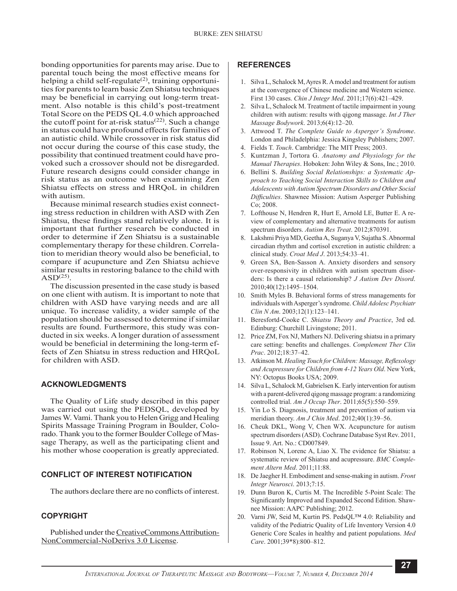bonding opportunities for parents may arise. Due to parental touch being the most effective means for helping a child self-regulate<sup> $(2)$ </sup>, training opportunities for parents to learn basic Zen Shiatsu techniques may be beneficial in carrying out long-term treatment. Also notable is this child's post-treatment Total Score on the PEDS QL 4.0 which approached the cutoff point for at-risk status<sup> $(22)$ </sup>. Such a change in status could have profound effects for families of an autistic child. While crossover in risk status did not occur during the course of this case study, the possibility that continued treatment could have provoked such a crossover should not be disregarded. Future research designs could consider change in risk status as an outcome when examining Zen Shiatsu effects on stress and HRQoL in children with autism.

Because minimal research studies exist connecting stress reduction in children with ASD with Zen Shiatsu, these findings stand relatively alone. It is important that further research be conducted in order to determine if Zen Shiatsu is a sustainable complementary therapy for these children. Correlation to meridian theory would also be beneficial, to compare if acupuncture and Zen Shiatsu achieve similar results in restoring balance to the child with  $ASD<sup>(25)</sup>$ .

The discussion presented in the case study is based on one client with autism. It is important to note that children with ASD have varying needs and are all unique. To increase validity, a wider sample of the population should be assessed to determine if similar results are found. Furthermore, this study was conducted in six weeks. A longer duration of assessment would be beneficial in determining the long-term effects of Zen Shiatsu in stress reduction and HRQoL for children with ASD.

## **ACKNOWLEDGMENTS**

The Quality of Life study described in this paper was carried out using the PEDSQL, developed by James W. Vami. Thank you to Helen Grigg and Healing Spirits Massage Training Program in Boulder, Colorado. Thank you to the former Boulder College of Massage Therapy, as well as the participating client and his mother whose cooperation is greatly appreciated.

## **CONFLICT OF INTEREST NOTIFICATION**

The authors declare there are no conflicts of interest.

#### **COPYRIGHT**

Published under the CreativeCommons Attribution-NonCommercial-NoDerivs 3.0 License.

#### **REFERENCES**

- 1. Silva L, Schalock M, Ayres R. A model and treatment for autism at the convergence of Chinese medicine and Western science. First 130 cases. *Chin J Integr Med*. 2011;17(6):421–429.
- 2. Silva L, Schalock M. Treatment of tactile impairment in young children with autism: results with qigong massage. *Int J Ther Massage Bodywork*. 2013;6(4):12–20.
- 3. Attwood T. *The Complete Guide to Asperger's Syndrome*. London and Philadelphia: Jessica Kingsley Publishers; 2007.
- 4. Fields T. *Touch*. Cambridge: The MIT Press; 2003.
- 5. Kuntzman J, Tortora G. *Anatomy and Physiology for the Manual Therapies*. Hoboken: John Wiley & Sons, Inc.; 2010.
- 6. Bellini S. *Building Social Relationships: a Systematic Approach to Teaching Social Interaction Skills to Children and Adolescents with Autism Spectrum Disorders and Other Social Difficulties*. Shawnee Mission: Autism Asperger Publishing Co; 2008.
- 7. Lofthouse N, Hendren R, Hurt E, Arnold LE, Butter E. A review of complementary and alternative treatments for autism spectrum disorders. *Autism Res Treat*. 2012;870391.
- 8. Lakshmi Priya MD, Geetha A, Suganya V, Sujatha S. Abnormal circadian rhythm and cortisol excretion in autistic children: a clinical study. *Croat Med J*. 2013;54:33–41.
- 9. Green SA, Ben-Sasson A. Anxiety disorders and sensory over-responsivity in children with autism spectrum disorders: Is there a causal relationship? *J Autism Dev Disord*. 2010;40(12):1495–1504.
- 10. Smith Myles B. Behavioral forms of stress managements for individuals with Asperger's syndrome. *Child Adolesc Psychiatr Clin N Am*. 2003;12(1):123–141.
- 11. Beresfortd-Cooke C. *Shiatsu Theory and Practice*, 3rd ed. Edinburg: Churchill Livingstone; 2011.
- 12. Price ZM, Fox NJ, Mathers NJ. Delivering shiatsu in a primary care setting: benefits and challenges. *Complement Ther Clin Prac*. 2012;18:37–42.
- 13. Atkinson M. *Healing Touch for Children: Massage, Reflexology and Acupressure for Children from 4-12 Years Old*. New York, NY: Octopus Books USA; 2009.
- 14. Silva L, Schalock M, Gabrielsen K. Early intervention for autism with a parent-delivered qigong massage program: a randomizing controlled trial. *Am J Occup Ther*. 2011;65(5):550–559.
- 15. Yin Lo S. Diagnosis, treatment and prevention of autism via meridian theory. *Am J Chin Med*. 2012;40(1):39–56.
- 16. Cheuk DKL, Wong V, Chen WX. Acupuncture for autism spectrum disorders (ASD). Cochrane Database Syst Rev. 2011, Issue 9. Art. No.: CD007849.
- 17. Robinson N, Lorenc A, Liao X. The evidence for Shiatsu: a systematic review of Shiatsu and acupressure. *BMC Complement Altern Med*. 2011;11:88.
- 18. De Jaegher H. Embodiment and sense-making in autism. *Front Integr Neurosci*. 2013;7:15.
- 19. Dunn Buron K, Curtis M. The Incredible 5-Point Scale: The Significantly Improved and Expanded Second Edition. Shawnee Mission: AAPC Publishing; 2012.
- 20. Varni JW, Seid M, Kurtin PS. PedsQL™ 4.0: Reliability and validity of the Pediatric Quality of Life Inventory Version 4.0 Generic Core Scales in healthy and patient populations. *Med Care*. 2001;39\*8):800–812.